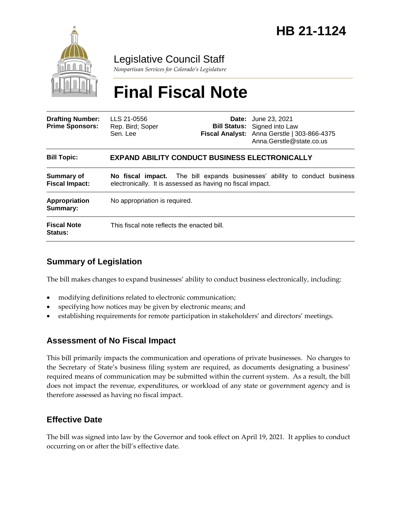

# Legislative Council Staff

*Nonpartisan Services for Colorado's Legislature*

# **Final Fiscal Note**

| <b>Drafting Number:</b><br><b>Prime Sponsors:</b> | LLS 21-0556<br>Rep. Bird; Soper<br>Sen. Lee                                                                                              |  | <b>Date:</b> June 23, 2021<br><b>Bill Status:</b> Signed into Law<br>Fiscal Analyst: Anna Gerstle   303-866-4375<br>Anna.Gerstle@state.co.us |
|---------------------------------------------------|------------------------------------------------------------------------------------------------------------------------------------------|--|----------------------------------------------------------------------------------------------------------------------------------------------|
| <b>Bill Topic:</b>                                | <b>EXPAND ABILITY CONDUCT BUSINESS ELECTRONICALLY</b>                                                                                    |  |                                                                                                                                              |
| Summary of<br><b>Fiscal Impact:</b>               | No fiscal impact. The bill expands businesses' ability to conduct business<br>electronically. It is assessed as having no fiscal impact. |  |                                                                                                                                              |
| <b>Appropriation</b><br>Summary:                  | No appropriation is required.                                                                                                            |  |                                                                                                                                              |
| <b>Fiscal Note</b><br><b>Status:</b>              | This fiscal note reflects the enacted bill.                                                                                              |  |                                                                                                                                              |

## **Summary of Legislation**

The bill makes changes to expand businesses' ability to conduct business electronically, including:

- modifying definitions related to electronic communication;
- specifying how notices may be given by electronic means; and
- establishing requirements for remote participation in stakeholders' and directors' meetings.

#### **Assessment of No Fiscal Impact**

This bill primarily impacts the communication and operations of private businesses. No changes to the Secretary of State's business filing system are required, as documents designating a business' required means of communication may be submitted within the current system. As a result, the bill does not impact the revenue, expenditures, or workload of any state or government agency and is therefore assessed as having no fiscal impact.

### **Effective Date**

The bill was signed into law by the Governor and took effect on April 19, 2021. It applies to conduct occurring on or after the bill's effective date.